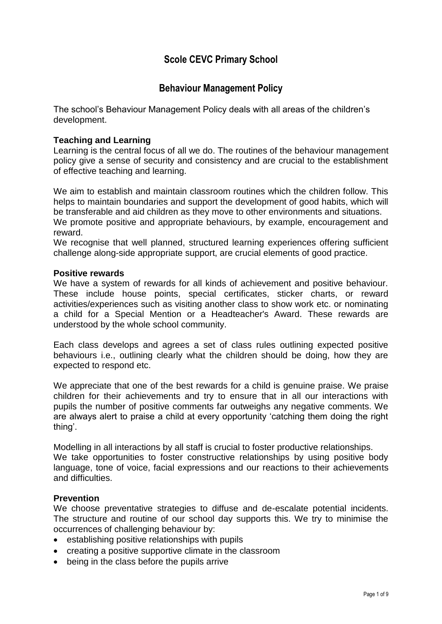# **Scole CEVC Primary School**

## **Behaviour Management Policy**

The school's Behaviour Management Policy deals with all areas of the children's development.

### **Teaching and Learning**

Learning is the central focus of all we do. The routines of the behaviour management policy give a sense of security and consistency and are crucial to the establishment of effective teaching and learning.

We aim to establish and maintain classroom routines which the children follow. This helps to maintain boundaries and support the development of good habits, which will be transferable and aid children as they move to other environments and situations. We promote positive and appropriate behaviours, by example, encouragement and reward.

We recognise that well planned, structured learning experiences offering sufficient challenge along-side appropriate support, are crucial elements of good practice.

#### **Positive rewards**

We have a system of rewards for all kinds of achievement and positive behaviour. These include house points, special certificates, sticker charts, or reward activities/experiences such as visiting another class to show work etc. or nominating a child for a Special Mention or a Headteacher's Award. These rewards are understood by the whole school community.

Each class develops and agrees a set of class rules outlining expected positive behaviours i.e., outlining clearly what the children should be doing, how they are expected to respond etc.

We appreciate that one of the best rewards for a child is genuine praise. We praise children for their achievements and try to ensure that in all our interactions with pupils the number of positive comments far outweighs any negative comments. We are always alert to praise a child at every opportunity 'catching them doing the right thing'.

Modelling in all interactions by all staff is crucial to foster productive relationships. We take opportunities to foster constructive relationships by using positive body language, tone of voice, facial expressions and our reactions to their achievements and difficulties.

### **Prevention**

We choose preventative strategies to diffuse and de-escalate potential incidents. The structure and routine of our school day supports this. We try to minimise the occurrences of challenging behaviour by:

- establishing positive relationships with pupils
- creating a positive supportive climate in the classroom
- being in the class before the pupils arrive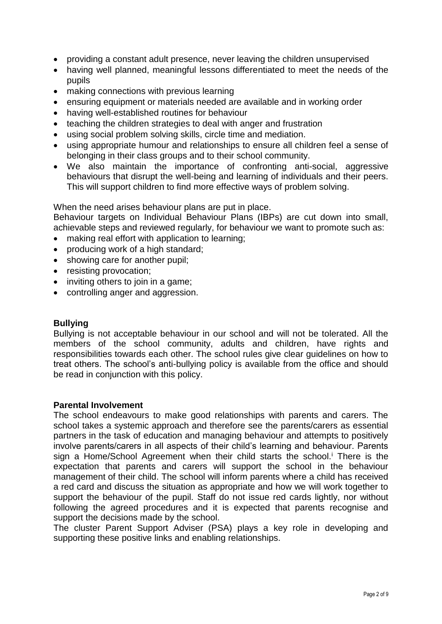- providing a constant adult presence, never leaving the children unsupervised
- having well planned, meaningful lessons differentiated to meet the needs of the pupils
- making connections with previous learning
- ensuring equipment or materials needed are available and in working order
- having well-established routines for behaviour
- teaching the children strategies to deal with anger and frustration
- using social problem solving skills, circle time and mediation.
- using appropriate humour and relationships to ensure all children feel a sense of belonging in their class groups and to their school community.
- We also maintain the importance of confronting anti-social, aggressive behaviours that disrupt the well-being and learning of individuals and their peers. This will support children to find more effective ways of problem solving.

When the need arises behaviour plans are put in place.

Behaviour targets on Individual Behaviour Plans (IBPs) are cut down into small, achievable steps and reviewed regularly, for behaviour we want to promote such as:

- making real effort with application to learning;
- producing work of a high standard;
- showing care for another pupil;
- resisting provocation;
- inviting others to join in a game;
- controlling anger and aggression.

#### **Bullying**

Bullying is not acceptable behaviour in our school and will not be tolerated. All the members of the school community, adults and children, have rights and responsibilities towards each other. The school rules give clear guidelines on how to treat others. The school's anti-bullying policy is available from the office and should be read in conjunction with this policy.

#### **Parental Involvement**

The school endeavours to make good relationships with parents and carers. The school takes a systemic approach and therefore see the parents/carers as essential partners in the task of education and managing behaviour and attempts to positively involve parents/carers in all aspects of their child's learning and behaviour. Parents sign a Home/School Agreement when their child starts the school.<sup>i</sup> There is the expectation that parents and carers will support the school in the behaviour management of their child. The school will inform parents where a child has received a red card and discuss the situation as appropriate and how we will work together to support the behaviour of the pupil. Staff do not issue red cards lightly, nor without following the agreed procedures and it is expected that parents recognise and support the decisions made by the school.

The cluster Parent Support Adviser (PSA) plays a key role in developing and supporting these positive links and enabling relationships.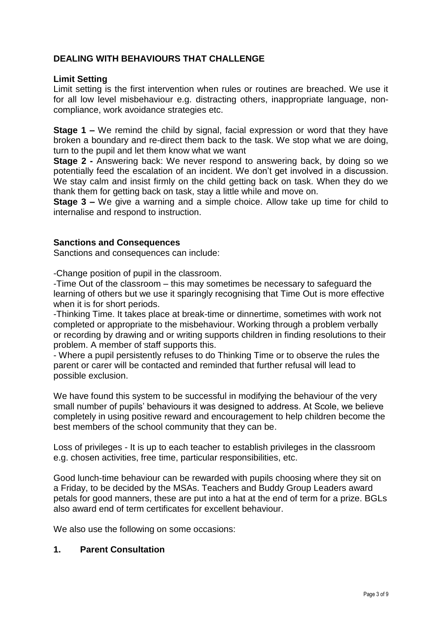### **DEALING WITH BEHAVIOURS THAT CHALLENGE**

#### **Limit Setting**

Limit setting is the first intervention when rules or routines are breached. We use it for all low level misbehaviour e.g. distracting others, inappropriate language, noncompliance, work avoidance strategies etc.

**Stage 1 –** We remind the child by signal, facial expression or word that they have broken a boundary and re-direct them back to the task. We stop what we are doing, turn to the pupil and let them know what we want

**Stage 2 -** Answering back: We never respond to answering back, by doing so we potentially feed the escalation of an incident. We don't get involved in a discussion. We stay calm and insist firmly on the child getting back on task. When they do we thank them for getting back on task, stay a little while and move on.

**Stage 3 –** We give a warning and a simple choice. Allow take up time for child to internalise and respond to instruction.

### **Sanctions and Consequences**

Sanctions and consequences can include:

-Change position of pupil in the classroom.

-Time Out of the classroom – this may sometimes be necessary to safeguard the learning of others but we use it sparingly recognising that Time Out is more effective when it is for short periods.

-Thinking Time. It takes place at break-time or dinnertime, sometimes with work not completed or appropriate to the misbehaviour. Working through a problem verbally or recording by drawing and or writing supports children in finding resolutions to their problem. A member of staff supports this.

- Where a pupil persistently refuses to do Thinking Time or to observe the rules the parent or carer will be contacted and reminded that further refusal will lead to possible exclusion.

We have found this system to be successful in modifying the behaviour of the very small number of pupils' behaviours it was designed to address. At Scole, we believe completely in using positive reward and encouragement to help children become the best members of the school community that they can be.

Loss of privileges - It is up to each teacher to establish privileges in the classroom e.g. chosen activities, free time, particular responsibilities, etc.

Good lunch-time behaviour can be rewarded with pupils choosing where they sit on a Friday, to be decided by the MSAs. Teachers and Buddy Group Leaders award petals for good manners, these are put into a hat at the end of term for a prize. BGLs also award end of term certificates for excellent behaviour.

We also use the following on some occasions:

#### **1. Parent Consultation**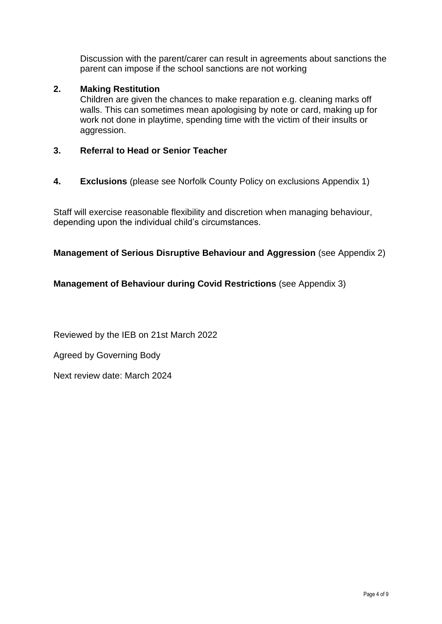Discussion with the parent/carer can result in agreements about sanctions the parent can impose if the school sanctions are not working

### **2. Making Restitution**

Children are given the chances to make reparation e.g. cleaning marks off walls. This can sometimes mean apologising by note or card, making up for work not done in playtime, spending time with the victim of their insults or aggression.

### **3. Referral to Head or Senior Teacher**

**4. Exclusions** (please see Norfolk County Policy on exclusions Appendix 1)

Staff will exercise reasonable flexibility and discretion when managing behaviour, depending upon the individual child's circumstances.

### **Management of Serious Disruptive Behaviour and Aggression** (see Appendix 2)

### **Management of Behaviour during Covid Restrictions** (see Appendix 3)

Reviewed by the IEB on 21st March 2022

Agreed by Governing Body

Next review date: March 2024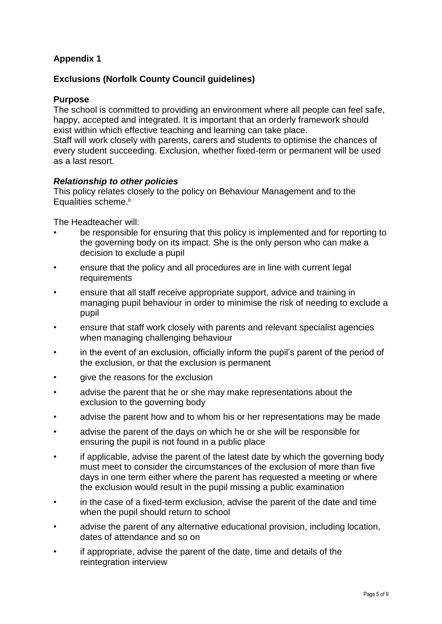# **Appendix 1**

### **Exclusions (Norfolk County Council guidelines)**

### **Purpose**

The school is committed to providing an environment where all people can feel safe, happy, accepted and integrated. It is important that an orderly framework should exist within which effective teaching and learning can take place. Staff will work closely with parents, carers and students to optimise the chances of every student succeeding. Exclusion, whether fixed-term or permanent will be used as a last resort.

### *Relationship to other policies*

This policy relates closely to the policy on Behaviour Management and to the Equalities scheme.<sup>ii</sup>

The Headteacher will:

- be responsible for ensuring that this policy is implemented and for reporting to the governing body on its impact. She is the only person who can make a decision to exclude a pupil
- ensure that the policy and all procedures are in line with current legal requirements
- ensure that all staff receive appropriate support, advice and training in managing pupil behaviour in order to minimise the risk of needing to exclude a pupil
- ensure that staff work closely with parents and relevant specialist agencies when managing challenging behaviour
- in the event of an exclusion, officially inform the pupil's parent of the period of the exclusion, or that the exclusion is permanent
- give the reasons for the exclusion
- advise the parent that he or she may make representations about the exclusion to the governing body
- advise the parent how and to whom his or her representations may be made
- advise the parent of the days on which he or she will be responsible for ensuring the pupil is not found in a public place
- if applicable, advise the parent of the latest date by which the governing body must meet to consider the circumstances of the exclusion of more than five days in one term either where the parent has requested a meeting or where the exclusion would result in the pupil missing a public examination
- in the case of a fixed-term exclusion, advise the parent of the date and time when the pupil should return to school
- advise the parent of any alternative educational provision, including location, dates of attendance and so on
- if appropriate, advise the parent of the date, time and details of the reintegration interview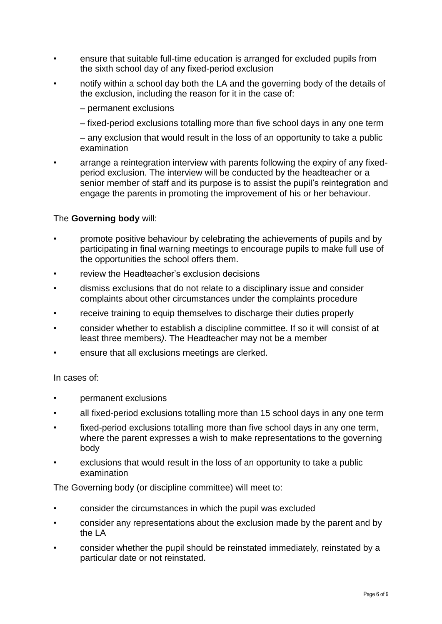- ensure that suitable full-time education is arranged for excluded pupils from the sixth school day of any fixed-period exclusion
- notify within a school day both the LA and the governing body of the details of the exclusion, including the reason for it in the case of:
	- permanent exclusions
	- fixed-period exclusions totalling more than five school days in any one term

– any exclusion that would result in the loss of an opportunity to take a public examination

• arrange a reintegration interview with parents following the expiry of any fixedperiod exclusion. The interview will be conducted by the headteacher or a senior member of staff and its purpose is to assist the pupil's reintegration and engage the parents in promoting the improvement of his or her behaviour.

### The **Governing body** will:

- promote positive behaviour by celebrating the achievements of pupils and by participating in final warning meetings to encourage pupils to make full use of the opportunities the school offers them.
- review the Headteacher's exclusion decisions
- dismiss exclusions that do not relate to a disciplinary issue and consider complaints about other circumstances under the complaints procedure
- receive training to equip themselves to discharge their duties properly
- consider whether to establish a discipline committee. If so it will consist of at least three members*)*. The Headteacher may not be a member
- ensure that all exclusions meetings are clerked.

#### In cases of:

- permanent exclusions
- all fixed-period exclusions totalling more than 15 school days in any one term
- fixed-period exclusions totalling more than five school days in any one term, where the parent expresses a wish to make representations to the governing body
- exclusions that would result in the loss of an opportunity to take a public examination

The Governing body (or discipline committee) will meet to:

- consider the circumstances in which the pupil was excluded
- consider any representations about the exclusion made by the parent and by the LA
- consider whether the pupil should be reinstated immediately, reinstated by a particular date or not reinstated.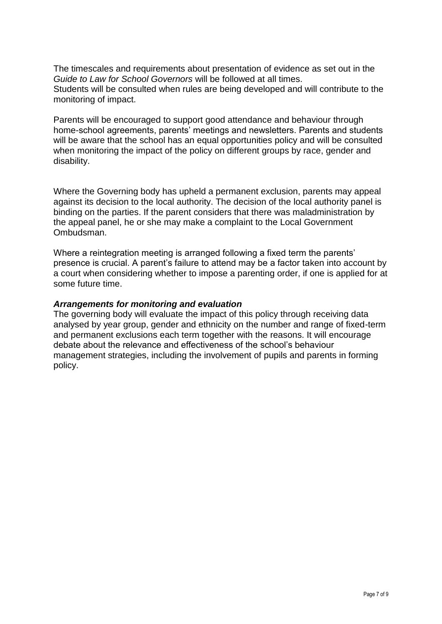The timescales and requirements about presentation of evidence as set out in the *Guide to Law for School Governors* will be followed at all times. Students will be consulted when rules are being developed and will contribute to the monitoring of impact.

Parents will be encouraged to support good attendance and behaviour through home-school agreements, parents' meetings and newsletters. Parents and students will be aware that the school has an equal opportunities policy and will be consulted when monitoring the impact of the policy on different groups by race, gender and disability.

Where the Governing body has upheld a permanent exclusion, parents may appeal against its decision to the local authority. The decision of the local authority panel is binding on the parties. If the parent considers that there was maladministration by the appeal panel, he or she may make a complaint to the Local Government Ombudsman.

Where a reintegration meeting is arranged following a fixed term the parents' presence is crucial. A parent's failure to attend may be a factor taken into account by a court when considering whether to impose a parenting order, if one is applied for at some future time.

### *Arrangements for monitoring and evaluation*

The governing body will evaluate the impact of this policy through receiving data analysed by year group, gender and ethnicity on the number and range of fixed-term and permanent exclusions each term together with the reasons. It will encourage debate about the relevance and effectiveness of the school's behaviour management strategies, including the involvement of pupils and parents in forming policy.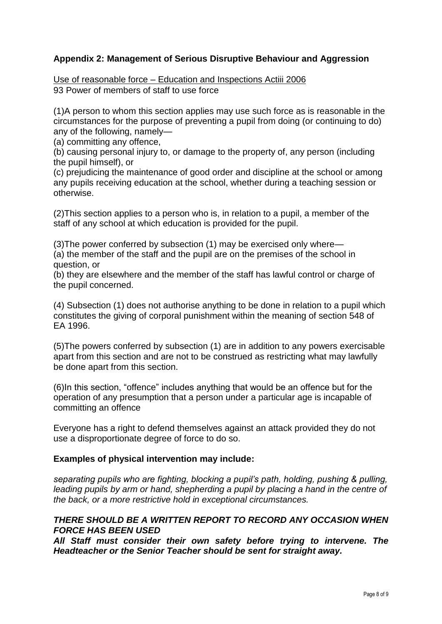### **Appendix 2: Management of Serious Disruptive Behaviour and Aggression**

Use of reasonable force – Education and Inspections Actiii 2006 93 Power of members of staff to use force

(1)A person to whom this section applies may use such force as is reasonable in the circumstances for the purpose of preventing a pupil from doing (or continuing to do) any of the following, namely—

(a) committing any offence,

(b) causing personal injury to, or damage to the property of, any person (including the pupil himself), or

(c) prejudicing the maintenance of good order and discipline at the school or among any pupils receiving education at the school, whether during a teaching session or otherwise.

(2)This section applies to a person who is, in relation to a pupil, a member of the staff of any school at which education is provided for the pupil.

(3)The power conferred by subsection (1) may be exercised only where— (a) the member of the staff and the pupil are on the premises of the school in

question, or

(b) they are elsewhere and the member of the staff has lawful control or charge of the pupil concerned.

(4) Subsection (1) does not authorise anything to be done in relation to a pupil which constitutes the giving of corporal punishment within the meaning of section 548 of EA 1996.

(5)The powers conferred by subsection (1) are in addition to any powers exercisable apart from this section and are not to be construed as restricting what may lawfully be done apart from this section.

(6)In this section, "offence" includes anything that would be an offence but for the operation of any presumption that a person under a particular age is incapable of committing an offence

Everyone has a right to defend themselves against an attack provided they do not use a disproportionate degree of force to do so.

#### **Examples of physical intervention may include:**

*separating pupils who are fighting, blocking a pupil's path, holding, pushing & pulling, leading pupils by arm or hand, shepherding a pupil by placing a hand in the centre of the back, or a more restrictive hold in exceptional circumstances.*

### *THERE SHOULD BE A WRITTEN REPORT TO RECORD ANY OCCASION WHEN FORCE HAS BEEN USED*

*All Staff must consider their own safety before trying to intervene. The Headteacher or the Senior Teacher should be sent for straight away.*